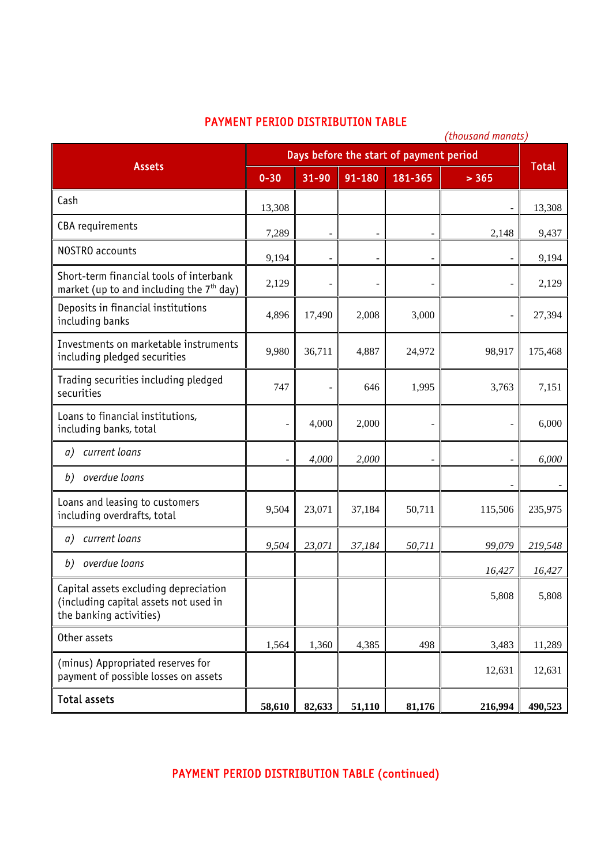## PAYMENT PERIOD DISTRIBUTION TABLE

| <b>DIJINIDUTIVN II</b><br>(thousand manats)                                                               |                                         |                          |        |             |                              |              |
|-----------------------------------------------------------------------------------------------------------|-----------------------------------------|--------------------------|--------|-------------|------------------------------|--------------|
| <b>Assets</b>                                                                                             | Days before the start of payment period |                          |        |             |                              |              |
|                                                                                                           | $0 - 30$                                | $31 - 90$                | 91-180 | $181 - 365$ | > 365                        | <b>Total</b> |
| Cash                                                                                                      | 13,308                                  |                          |        |             | $\overline{\phantom{0}}$     | 13,308       |
| CBA requirements                                                                                          | 7,289                                   |                          |        |             | 2,148                        | 9,437        |
| NOSTRO accounts                                                                                           | 9,194                                   |                          |        |             | $\overline{\phantom{0}}$     | 9,194        |
| Short-term financial tools of interbank<br>market (up to and including the $7th$ day)                     | 2,129                                   | $\overline{\phantom{a}}$ |        |             | $\overline{\phantom{0}}$     | 2,129        |
| Deposits in financial institutions<br>including banks                                                     | 4,896                                   | 17,490                   | 2,008  | 3,000       | $\qquad \qquad \blacksquare$ | 27,394       |
| Investments on marketable instruments<br>including pledged securities                                     | 9,980                                   | 36,711                   | 4,887  | 24,972      | 98,917                       | 175,468      |
| Trading securities including pledged<br>securities                                                        | 747                                     | $\overline{\phantom{a}}$ | 646    | 1,995       | 3,763                        | 7,151        |
| Loans to financial institutions,<br>including banks, total                                                |                                         | 4,000                    | 2,000  |             | $\overline{\phantom{0}}$     | 6,000        |
| current loans<br>a)                                                                                       | $\overline{\phantom{a}}$                | 4,000                    | 2,000  |             | $\overline{\phantom{a}}$     | 6,000        |
| overdue loans<br>b)                                                                                       |                                         |                          |        |             | $\overline{\phantom{0}}$     |              |
| Loans and leasing to customers<br>including overdrafts, total                                             | 9,504                                   | 23,071                   | 37,184 | 50,711      | 115,506                      | 235,975      |
| current loans<br>a)                                                                                       | 9,504                                   | 23,071                   | 37,184 | 50,711      | 99,079                       | 219,548      |
| overdue loans<br>b)                                                                                       |                                         |                          |        |             | 16,427                       | 16,427       |
| Capital assets excluding depreciation<br>(including capital assets not used in<br>the banking activities) |                                         |                          |        |             | 5,808                        | 5,808        |
| Other assets                                                                                              | 1,564                                   | 1,360                    | 4,385  | 498         | 3,483                        | 11,289       |
| (minus) Appropriated reserves for<br>payment of possible losses on assets                                 |                                         |                          |        |             | 12,631                       | 12,631       |
| <b>Total assets</b>                                                                                       | 58,610                                  | 82,633                   | 51,110 | 81,176      | 216,994                      | 490,523      |

## PAYMENT PERIOD DISTRIBUTION TABLE (continued)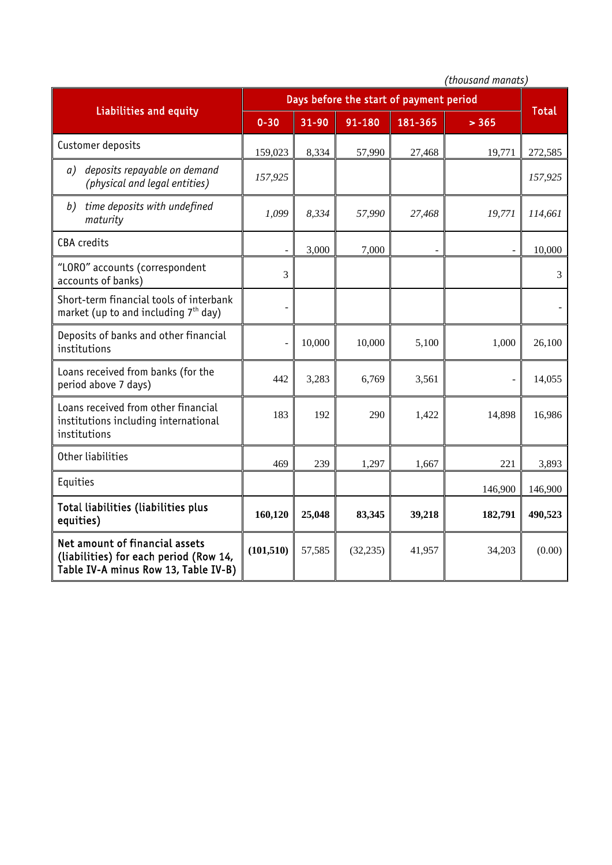|                                                                                                                  | (thousand manats)                       |        |           |         |         |              |
|------------------------------------------------------------------------------------------------------------------|-----------------------------------------|--------|-----------|---------|---------|--------------|
| <b>Liabilities and equity</b>                                                                                    | Days before the start of payment period |        |           |         |         |              |
|                                                                                                                  | $0 - 30$                                | 31-90  | 91-180    | 181-365 | > 365   | <b>Total</b> |
| Customer deposits                                                                                                | 159,023                                 | 8,334  | 57,990    | 27,468  | 19,771  | 272,585      |
| deposits repayable on demand<br>a)<br>(physical and legal entities)                                              | 157,925                                 |        |           |         |         | 157,925      |
| time deposits with undefined<br>b)<br>maturity                                                                   | 1,099                                   | 8,334  | 57,990    | 27,468  | 19,771  | 114,661      |
| <b>CBA</b> credits                                                                                               |                                         | 3,000  | 7,000     |         |         | 10,000       |
| "LORO" accounts (correspondent<br>accounts of banks)                                                             | 3                                       |        |           |         |         | 3            |
| Short-term financial tools of interbank<br>market (up to and including 7 <sup>th</sup> day)                      |                                         |        |           |         |         |              |
| Deposits of banks and other financial<br>institutions                                                            |                                         | 10,000 | 10,000    | 5,100   | 1,000   | 26,100       |
| Loans received from banks (for the<br>period above 7 days)                                                       | 442                                     | 3,283  | 6,769     | 3,561   |         | 14,055       |
| Loans received from other financial<br>institutions including international<br>institutions                      | 183                                     | 192    | 290       | 1,422   | 14,898  | 16,986       |
| Other liabilities                                                                                                | 469                                     | 239    | 1,297     | 1,667   | 221     | 3,893        |
| Equities                                                                                                         |                                         |        |           |         | 146,900 | 146,900      |
| Total liabilities (liabilities plus<br>equities)                                                                 | 160,120                                 | 25,048 | 83,345    | 39,218  | 182,791 | 490,523      |
| Net amount of financial assets<br>(liabilities) for each period (Row 14,<br>Table IV-A minus Row 13, Table IV-B) | (101, 510)                              | 57,585 | (32, 235) | 41,957  | 34,203  | (0.00)       |